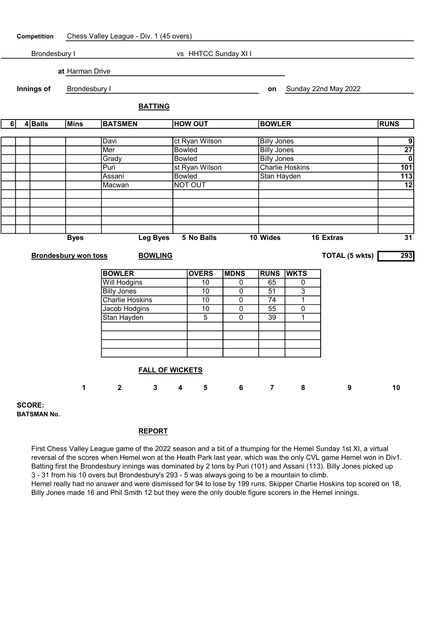

BATSMAN No.

## REPORT

First Chess Valley League game of the 2022 season and a bit of a thumping for the Hemel Sunday 1st XI, a virtual reversal of the scores when Hemel won at the Heath Park last year, which was the only CVL game Hemel won in Div1. Batting first the Brondesbury innings was dominated by 2 tons by Puri (101) and Assani (113). Billy Jones picked up 3 - 31 from his 10 overs but Brondesbury's 293 - 5 was always going to be a mountain to climb. Hemel really had no answer and were dismissed for 94 to lose by 199 runs. Skipper Charlie Hoskins top scored on 18, Billy Jones made 16 and Phil Smith 12 but they were the only double figure scorers in the Hemel innings.